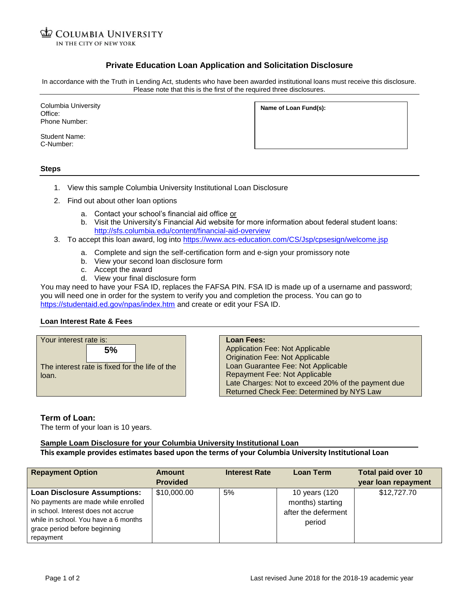**COLUMBIA UNIVERSITY** IN THE CITY OF NEW YORK

# **Private Education Loan Application and Solicitation Disclosure**

In accordance with the Truth in Lending Act, students who have been awarded institutional loans must receive this disclosure. Please note that this is the first of the required three disclosures.

Columbia University Office: Phone Number:

Student Name: C-Number:

**Name of Loan Fund(s):**

**Steps**

- 1. View this sample Columbia University Institutional Loan Disclosure
- 2. Find out about other loan options
	- a. Contact your school's financial aid office or
	- b. Visit the University's Financial Aid website for more information about federal student loans: <http://sfs.columbia.edu/content/financial-aid-overview>
- 3. To accept this loan award, log into<https://www.acs-education.com/CS/Jsp/cpsesign/welcome.jsp>
	- a. Complete and sign the self-certification form and e-sign your promissory note
	- b. View your second loan disclosure form
	- c. Accept the award
	- d. View your final disclosure form

You may need to have your FSA ID, replaces the FAFSA PIN. FSA ID is made up of a username and password; you will need one in order for the system to verify you and completion the process. You can go to <https://studentaid.ed.gov/npas/index.htm> and create or edit your FSA ID.

#### **Loan Interest Rate & Fees**



**Loan Fees:** Application Fee: Not Applicable Origination Fee: Not Applicable Loan Guarantee Fee: Not Applicable Repayment Fee: Not Applicable Late Charges: Not to exceed 20% of the payment due Returned Check Fee: Determined by NYS Law

### **Term of Loan:**

The term of your loan is 10 years.

# **Sample Loam Disclosure for your Columbia University Institutional Loan**

# **This example provides estimates based upon the terms of your Columbia University Institutional Loan**

| <b>Repayment Option</b>              | Amount          | <b>Interest Rate</b> | <b>Loan Term</b>    | <b>Total paid over 10</b> |
|--------------------------------------|-----------------|----------------------|---------------------|---------------------------|
|                                      | <b>Provided</b> |                      |                     | year loan repayment       |
| <b>Loan Disclosure Assumptions:</b>  | \$10,000.00     | 5%                   | 10 years (120       | \$12,727.70               |
| No payments are made while enrolled  |                 |                      | months) starting    |                           |
| in school. Interest does not accrue  |                 |                      | after the deferment |                           |
| while in school. You have a 6 months |                 |                      | period              |                           |
| grace period before beginning        |                 |                      |                     |                           |
| repayment                            |                 |                      |                     |                           |